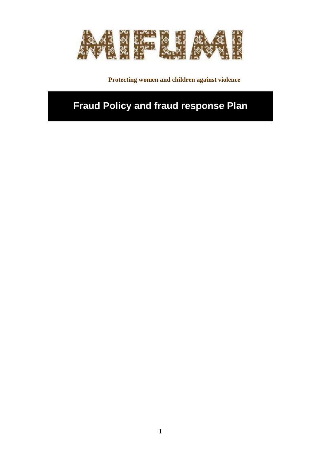

 **Protecting women and children against violence**

# **Fraud Policy and fraud response Plan**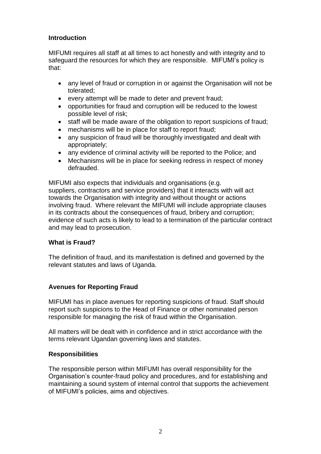# **Introduction**

MIFUMI requires all staff at all times to act honestly and with integrity and to safeguard the resources for which they are responsible. MIFUMI's policy is that:

- any level of fraud or corruption in or against the Organisation will not be tolerated;
- every attempt will be made to deter and prevent fraud;
- opportunities for fraud and corruption will be reduced to the lowest possible level of risk;
- staff will be made aware of the obligation to report suspicions of fraud:
- mechanisms will be in place for staff to report fraud;
- any suspicion of fraud will be thoroughly investigated and dealt with appropriately;
- any evidence of criminal activity will be reported to the Police: and
- Mechanisms will be in place for seeking redress in respect of money defrauded.

MIFUMI also expects that individuals and organisations (e.g. suppliers, contractors and service providers) that it interacts with will act towards the Organisation with integrity and without thought or actions involving fraud. Where relevant the MIFUMI will include appropriate clauses in its contracts about the consequences of fraud, bribery and corruption; evidence of such acts is likely to lead to a termination of the particular contract and may lead to prosecution.

# **What is Fraud?**

The definition of fraud, and its manifestation is defined and governed by the relevant statutes and laws of Uganda.

# **Avenues for Reporting Fraud**

MIFUMI has in place avenues for reporting suspicions of fraud. Staff should report such suspicions to the Head of Finance or other nominated person responsible for managing the risk of fraud within the Organisation.

All matters will be dealt with in confidence and in strict accordance with the terms relevant Ugandan governing laws and statutes.

#### **Responsibilities**

The responsible person within MIFUMI has overall responsibility for the Organisation's counter-fraud policy and procedures, and for establishing and maintaining a sound system of internal control that supports the achievement of MIFUMI's policies, aims and objectives.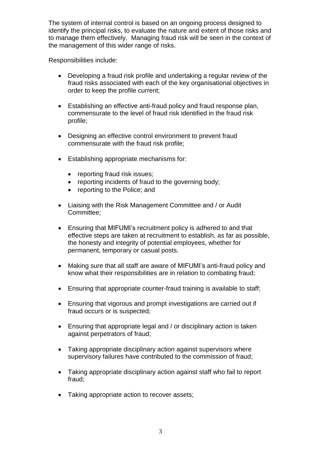The system of internal control is based on an ongoing process designed to identify the principal risks, to evaluate the nature and extent of those risks and to manage them effectively. Managing fraud risk will be seen in the context of the management of this wider range of risks.

Responsibilities include:

- Developing a fraud risk profile and undertaking a regular review of the fraud risks associated with each of the key organisational objectives in order to keep the profile current;
- Establishing an effective anti-fraud policy and fraud response plan, commensurate to the level of fraud risk identified in the fraud risk profile;
- Designing an effective control environment to prevent fraud commensurate with the fraud risk profile;
- Establishing appropriate mechanisms for:
	- reporting fraud risk issues;
	- reporting incidents of fraud to the governing body;
	- reporting to the Police: and
- Liaising with the Risk Management Committee and / or Audit Committee;
- Ensuring that MIFUMI's recruitment policy is adhered to and that effective steps are taken at recruitment to establish, as far as possible, the honesty and integrity of potential employees, whether for permanent, temporary or casual posts.
- Making sure that all staff are aware of MIFUMI's anti-fraud policy and know what their responsibilities are in relation to combating fraud;
- Ensuring that appropriate counter-fraud training is available to staff;
- Ensuring that vigorous and prompt investigations are carried out if fraud occurs or is suspected;
- Ensuring that appropriate legal and / or disciplinary action is taken against perpetrators of fraud;
- Taking appropriate disciplinary action against supervisors where supervisory failures have contributed to the commission of fraud;
- Taking appropriate disciplinary action against staff who fail to report fraud;
- Taking appropriate action to recover assets;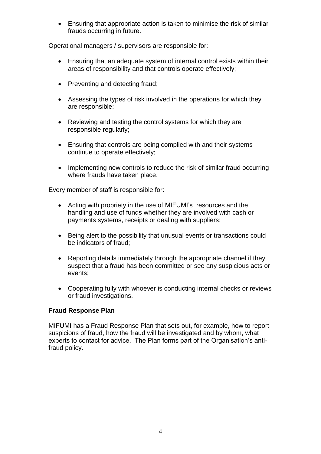Ensuring that appropriate action is taken to minimise the risk of similar frauds occurring in future.

Operational managers / supervisors are responsible for:

- Ensuring that an adequate system of internal control exists within their areas of responsibility and that controls operate effectively;
- Preventing and detecting fraud;
- Assessing the types of risk involved in the operations for which they are responsible;
- Reviewing and testing the control systems for which they are responsible regularly;
- Ensuring that controls are being complied with and their systems continue to operate effectively;
- Implementing new controls to reduce the risk of similar fraud occurring where frauds have taken place.

Every member of staff is responsible for:

- Acting with propriety in the use of MIFUMI's resources and the handling and use of funds whether they are involved with cash or payments systems, receipts or dealing with suppliers;
- Being alert to the possibility that unusual events or transactions could be indicators of fraud;
- Reporting details immediately through the appropriate channel if they suspect that a fraud has been committed or see any suspicious acts or events;
- Cooperating fully with whoever is conducting internal checks or reviews or fraud investigations.

# **Fraud Response Plan**

MIFUMI has a Fraud Response Plan that sets out, for example, how to report suspicions of fraud, how the fraud will be investigated and by whom, what experts to contact for advice. The Plan forms part of the Organisation's antifraud policy.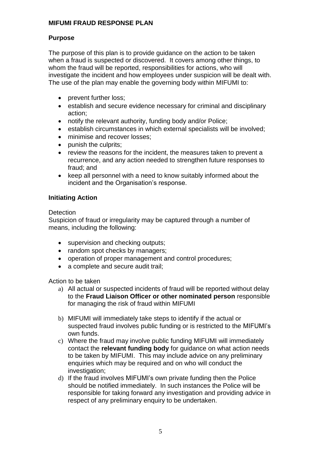### **MIFUMI FRAUD RESPONSE PLAN**

#### **Purpose**

The purpose of this plan is to provide guidance on the action to be taken when a fraud is suspected or discovered. It covers among other things, to whom the fraud will be reported, responsibilities for actions, who will investigate the incident and how employees under suspicion will be dealt with. The use of the plan may enable the governing body within MIFUMI to:

- prevent further loss;
- establish and secure evidence necessary for criminal and disciplinary action;
- notify the relevant authority, funding body and/or Police;
- establish circumstances in which external specialists will be involved;
- minimise and recover losses;
- punish the culprits:
- review the reasons for the incident, the measures taken to prevent a recurrence, and any action needed to strengthen future responses to fraud; and
- keep all personnel with a need to know suitably informed about the incident and the Organisation's response.

#### **Initiating Action**

#### **Detection**

Suspicion of fraud or irregularity may be captured through a number of means, including the following:

- supervision and checking outputs;
- random spot checks by managers;
- operation of proper management and control procedures;
- a complete and secure audit trail;

Action to be taken

- a) All actual or suspected incidents of fraud will be reported without delay to the **Fraud Liaison Officer or other nominated person** responsible for managing the risk of fraud within MIFUMI
- b) MIFUMI will immediately take steps to identify if the actual or suspected fraud involves public funding or is restricted to the MIFUMI's own funds.
- c) Where the fraud may involve public funding MIFUMI will immediately contact the **relevant funding body** for guidance on what action needs to be taken by MIFUMI. This may include advice on any preliminary enquiries which may be required and on who will conduct the investigation;
- d) If the fraud involves MIFUMI's own private funding then the Police should be notified immediately. In such instances the Police will be responsible for taking forward any investigation and providing advice in respect of any preliminary enquiry to be undertaken.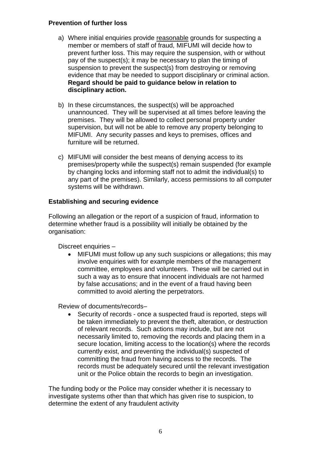#### **Prevention of further loss**

- a) Where initial enquiries provide reasonable grounds for suspecting a member or members of staff of fraud, MIFUMI will decide how to prevent further loss. This may require the suspension, with or without pay of the suspect(s); it may be necessary to plan the timing of suspension to prevent the suspect(s) from destroying or removing evidence that may be needed to support disciplinary or criminal action. **Regard should be paid to guidance below in relation to disciplinary action.**
- b) In these circumstances, the suspect(s) will be approached unannounced. They will be supervised at all times before leaving the premises. They will be allowed to collect personal property under supervision, but will not be able to remove any property belonging to MIFUMI. Any security passes and keys to premises, offices and furniture will be returned.
- c) MIFUMI will consider the best means of denying access to its premises/property while the suspect(s) remain suspended (for example by changing locks and informing staff not to admit the individual(s) to any part of the premises). Similarly, access permissions to all computer systems will be withdrawn.

# **Establishing and securing evidence**

Following an allegation or the report of a suspicion of fraud, information to determine whether fraud is a possibility will initially be obtained by the organisation:

Discreet enquiries –

 MIFUMI must follow up any such suspicions or allegations; this may involve enquiries with for example members of the management committee, employees and volunteers. These will be carried out in such a way as to ensure that innocent individuals are not harmed by false accusations; and in the event of a fraud having been committed to avoid alerting the perpetrators.

Review of documents/records–

 Security of records - once a suspected fraud is reported, steps will be taken immediately to prevent the theft, alteration, or destruction of relevant records. Such actions may include, but are not necessarily limited to, removing the records and placing them in a secure location, limiting access to the location(s) where the records currently exist, and preventing the individual(s) suspected of committing the fraud from having access to the records. The records must be adequately secured until the relevant investigation unit or the Police obtain the records to begin an investigation.

The funding body or the Police may consider whether it is necessary to investigate systems other than that which has given rise to suspicion, to determine the extent of any fraudulent activity